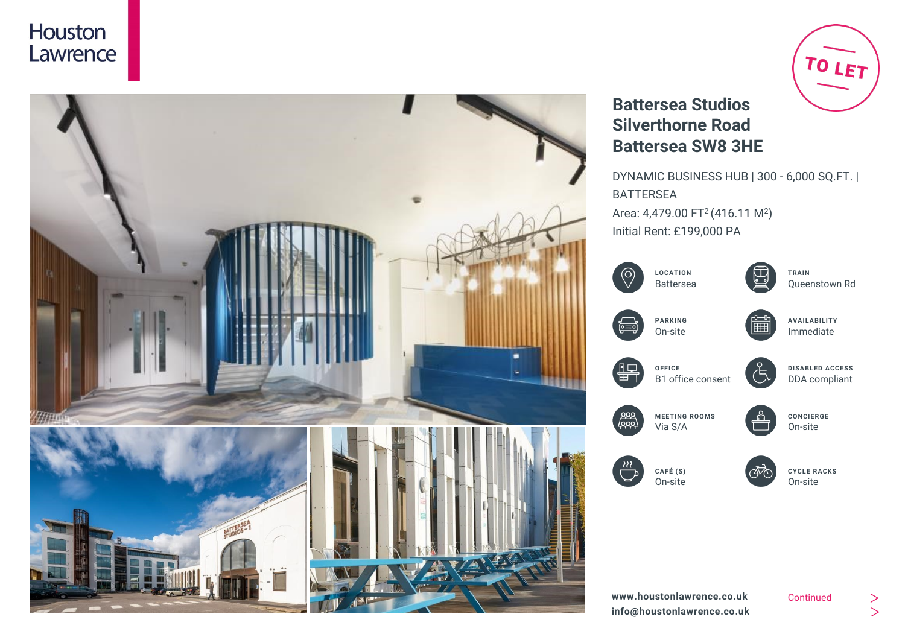



# TO LET

## **Battersea Studios Silverthorne Road Battersea SW8 3HE**

DYNAMIC BUSINESS HUB | 300 - 6,000 SQ.FT. | BATTERSEA Area: 4,479.00 FT<sup>2</sup> (416.11 M<sup>2</sup>) Initial Rent: £199,000 PA

|       | <b>LOCATION</b><br><b>Battersea</b> | TRAIN<br>Queenstown Rd                  |
|-------|-------------------------------------|-----------------------------------------|
| င္ဗြ= | <b>PARKING</b><br>On-site           | <b>AVAILABILITY</b><br>Immediate        |
|       | OFFICE<br>B1 office consent         | <b>DISABLED ACCESS</b><br>DDA compliant |
|       | <b>MEETING ROOMS</b><br>Via S/A     | <b>CONCIERGE</b><br>On-site             |
|       | CAFÉ (S)<br>On-site                 | <b>CYCLE RACKS</b><br>On-site           |
|       |                                     |                                         |

Continued